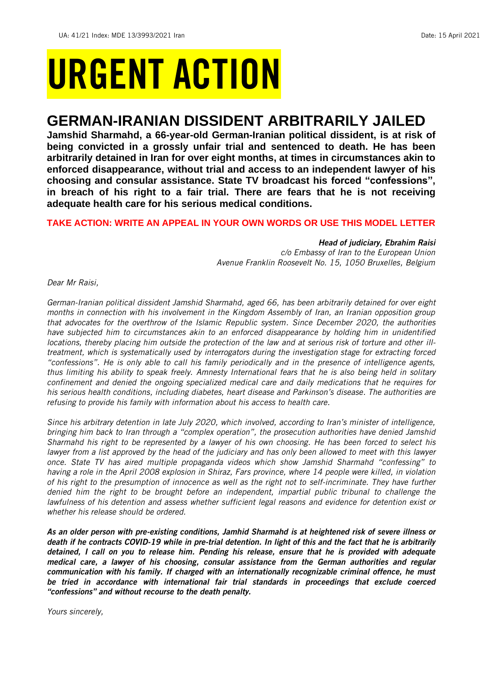# URGENT ACTION

## **GERMAN-IRANIAN DISSIDENT ARBITRARILY JAILED**

**Jamshid Sharmahd, a 66-year-old German-Iranian political dissident, is at risk of being convicted in a grossly unfair trial and sentenced to death. He has been arbitrarily detained in Iran for over eight months, at times in circumstances akin to enforced disappearance, without trial and access to an independent lawyer of his choosing and consular assistance. State TV broadcast his forced "confessions", in breach of his right to a fair trial. There are fears that he is not receiving adequate health care for his serious medical conditions.** 

## **TAKE ACTION: WRITE AN APPEAL IN YOUR OWN WORDS OR USE THIS MODEL LETTER**

## *Head of judiciary, Ebrahim Raisi*

*c/o Embassy of Iran to the European Union Avenue Franklin Roosevelt No. 15, 1050 Bruxelles, Belgium*

*Dear Mr Raisi,*

*German-Iranian political dissident Jamshid Sharmahd, aged 66, has been arbitrarily detained for over eight months in connection with his involvement in the Kingdom Assembly of Iran, an Iranian opposition group that advocates for the overthrow of the Islamic Republic system. Since December 2020, the authorities*  have subjected him to circumstances akin to an enforced disappearance by holding him in unidentified *locations, thereby placing him outside the protection of the law and at serious risk of torture and other illtreatment, which is systematically used by interrogators during the investigation stage for extracting forced "confessions". He is only able to call his family periodically and in the presence of intelligence agents, thus limiting his ability to speak freely. Amnesty International fears that he is also being held in solitary confinement and denied the ongoing specialized medical care and daily medications that he requires for his serious health conditions, including diabetes, heart disease and Parkinson's disease. The authorities are refusing to provide his family with information about his access to health care.*

*Since his arbitrary detention in late July 2020, which involved, according to Iran's minister of intelligence, bringing him back to Iran through a "complex operation", the prosecution authorities have denied Jamshid Sharmahd his right to be represented by a lawyer of his own choosing. He has been forced to select his lawyer from a list approved by the head of the judiciary and has only been allowed to meet with this lawyer once. State TV has aired multiple propaganda videos which show Jamshid Sharmahd "confessing" to having a role in the April 2008 explosion in Shiraz, Fars province, where 14 people were killed, in violation of his right to the presumption of innocence as well as the right not to self-incriminate. They have further denied him the right to be brought before an independent, impartial public tribunal to challenge the lawfulness of his detention and assess whether sufficient legal reasons and evidence for detention exist or whether his release should be ordered.*

*As an older person with pre-existing conditions, Jamhid Sharmahd is at heightened risk of severe illness or death if he contracts COVID-19 while in pre-trial detention. In light of this and the fact that he is arbitrarily detained, I call on you to release him. Pending his release, ensure that he is provided with adequate medical care, a lawyer of his choosing, consular assistance from the German authorities and regular communication with his family. If charged with an internationally recognizable criminal offence, he must be tried in accordance with international fair trial standards in proceedings that exclude coerced "confessions" and without recourse to the death penalty.*

*Yours sincerely,*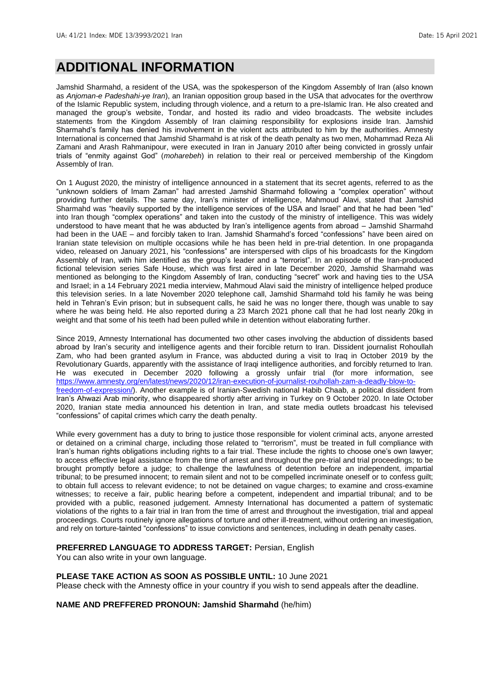## **ADDITIONAL INFORMATION**

Jamshid Sharmahd, a resident of the USA, was the spokesperson of the Kingdom Assembly of Iran (also known as *Anjoman-e Padeshahi-ye Iran*), an Iranian opposition group based in the USA that advocates for the overthrow of the Islamic Republic system, including through violence, and a return to a pre-Islamic Iran. He also created and managed the group's website, Tondar, and hosted its radio and video broadcasts. The website includes statements from the Kingdom Assembly of Iran claiming responsibility for explosions inside Iran. Jamshid Sharmahd's family has denied his involvement in the violent acts attributed to him by the authorities. Amnesty International is concerned that Jamshid Sharmahd is at risk of the death penalty as two men, Mohammad Reza Ali Zamani and Arash Rahmanipour, were executed in Iran in January 2010 after being convicted in grossly unfair trials of "enmity against God" (*moharebeh*) in relation to their real or perceived membership of the Kingdom Assembly of Iran.

On 1 August 2020, the ministry of intelligence announced in a statement that its secret agents, referred to as the "unknown soldiers of Imam Zaman" had arrested Jamshid Sharmahd following a "complex operation" without providing further details. The same day, Iran's minister of intelligence, Mahmoud Alavi, stated that Jamshid Sharmahd was "heavily supported by the intelligence services of the USA and Israel" and that he had been "led" into Iran though "complex operations" and taken into the custody of the ministry of intelligence. This was widely understood to have meant that he was abducted by Iran's intelligence agents from abroad – Jamshid Sharmahd had been in the UAE – and forcibly taken to Iran. Jamshid Sharmahd's forced "confessions" have been aired on Iranian state television on multiple occasions while he has been held in pre-trial detention. In one propaganda video, released on January 2021, his "confessions" are interspersed with clips of his broadcasts for the Kingdom Assembly of Iran, with him identified as the group's leader and a "terrorist". In an episode of the Iran-produced fictional television series Safe House, which was first aired in late December 2020, Jamshid Sharmahd was mentioned as belonging to the Kingdom Assembly of Iran, conducting "secret" work and having ties to the USA and Israel; in a 14 February 2021 media interview, Mahmoud Alavi said the ministry of intelligence helped produce this television series. In a late November 2020 telephone call, Jamshid Sharmahd told his family he was being held in Tehran's Evin prison; but in subsequent calls, he said he was no longer there, though was unable to say where he was being held. He also reported during a 23 March 2021 phone call that he had lost nearly 20kg in weight and that some of his teeth had been pulled while in detention without elaborating further.

Since 2019, Amnesty International has documented two other cases involving the abduction of dissidents based abroad by Iran's security and intelligence agents and their forcible return to Iran. Dissident journalist Rohoullah Zam, who had been granted asylum in France, was abducted during a visit to Iraq in October 2019 by the Revolutionary Guards, apparently with the assistance of Iraqi intelligence authorities, and forcibly returned to Iran. He was executed in December 2020 following a grossly unfair trial (for more information, see [https://www.amnesty.org/en/latest/news/2020/12/iran-execution-of-journalist-rouhollah-zam-a-deadly-blow-to](https://www.amnesty.org/en/latest/news/2020/12/iran-execution-of-journalist-rouhollah-zam-a-deadly-blow-to-freedom-of-expression/)[freedom-of-expression/\)](https://www.amnesty.org/en/latest/news/2020/12/iran-execution-of-journalist-rouhollah-zam-a-deadly-blow-to-freedom-of-expression/). Another example is of Iranian-Swedish national Habib Chaab, a political dissident from Iran's Ahwazi Arab minority, who disappeared shortly after arriving in Turkey on 9 October 2020. In late October 2020, Iranian state media announced his detention in Iran, and state media outlets broadcast his televised "confessions" of capital crimes which carry the death penalty.

While every government has a duty to bring to justice those responsible for violent criminal acts, anyone arrested or detained on a criminal charge, including those related to "terrorism", must be treated in full compliance with Iran's human rights obligations including rights to a fair trial. These include the rights to choose one's own lawyer; to access effective legal assistance from the time of arrest and throughout the pre-trial and trial proceedings; to be brought promptly before a judge; to challenge the lawfulness of detention before an independent, impartial tribunal; to be presumed innocent; to remain silent and not to be compelled incriminate oneself or to confess guilt; to obtain full access to relevant evidence; to not be detained on vague charges; to examine and cross-examine witnesses; to receive a fair, public hearing before a competent, independent and impartial tribunal; and to be provided with a public, reasoned judgement. Amnesty International has documented a pattern of systematic violations of the rights to a fair trial in Iran from the time of arrest and throughout the investigation, trial and appeal proceedings. Courts routinely ignore allegations of torture and other ill-treatment, without ordering an investigation, and rely on torture-tainted "confessions" to issue convictions and sentences, including in death penalty cases.

### **PREFERRED LANGUAGE TO ADDRESS TARGET:** Persian, English

You can also write in your own language.

#### **PLEASE TAKE ACTION AS SOON AS POSSIBLE UNTIL:** 10 June 2021

Please check with the Amnesty office in your country if you wish to send appeals after the deadline.

**NAME AND PREFFERED PRONOUN: Jamshid Sharmahd** (he/him)